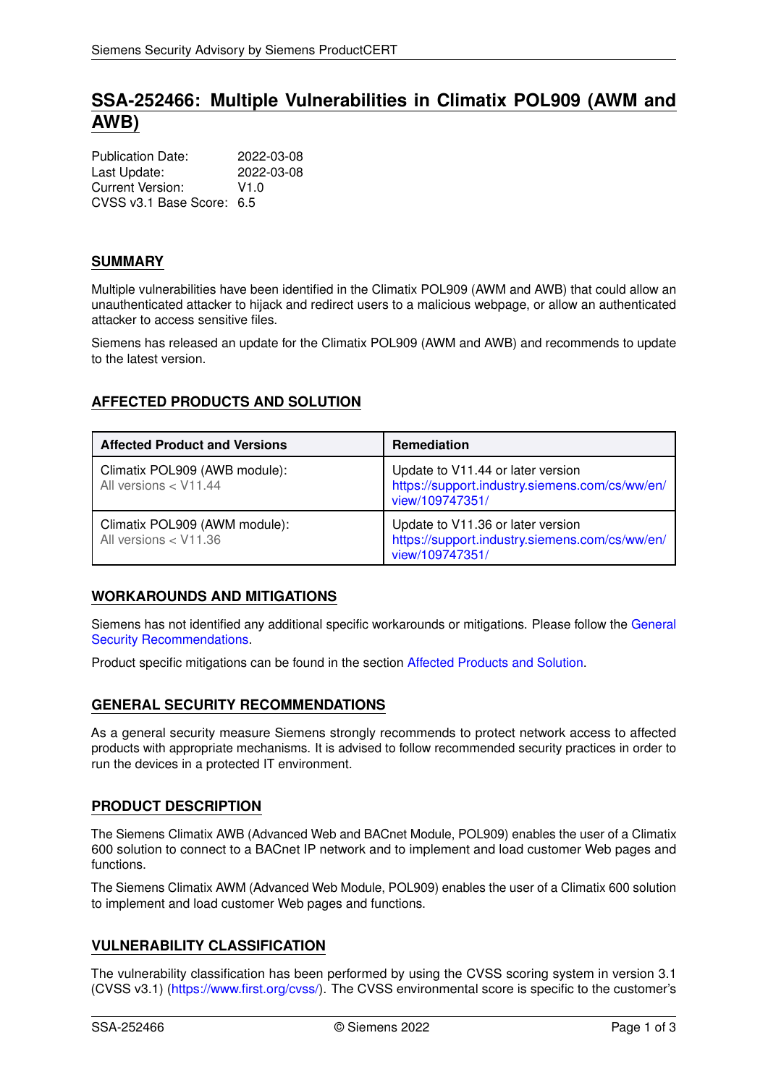# **SSA-252466: Multiple Vulnerabilities in Climatix POL909 (AWM and AWB)**

| <b>Publication Date:</b>  | 2022-03-08 |
|---------------------------|------------|
| Last Update:              | 2022-03-08 |
| Current Version:          | V1.0       |
| CVSS v3.1 Base Score: 6.5 |            |

# **SUMMARY**

Multiple vulnerabilities have been identified in the Climatix POL909 (AWM and AWB) that could allow an unauthenticated attacker to hijack and redirect users to a malicious webpage, or allow an authenticated attacker to access sensitive files.

<span id="page-0-1"></span>Siemens has released an update for the Climatix POL909 (AWM and AWB) and recommends to update to the latest version.

# **AFFECTED PRODUCTS AND SOLUTION**

| <b>Affected Product and Versions</b>                   | <b>Remediation</b>                                                                                     |
|--------------------------------------------------------|--------------------------------------------------------------------------------------------------------|
| Climatix POL909 (AWB module):<br>All versions < V11.44 | Update to V11.44 or later version<br>https://support.industry.siemens.com/cs/ww/en/<br>view/109747351/ |
| Climatix POL909 (AWM module):<br>All versions < V11.36 | Update to V11.36 or later version<br>https://support.industry.siemens.com/cs/ww/en/<br>view/109747351/ |

## **WORKAROUNDS AND MITIGATIONS**

Siemens has not identified any additional specific workarounds or mitigations. Please follow the [General](#page-0-0) [Security Recommendations.](#page-0-0)

<span id="page-0-0"></span>Product specific mitigations can be found in the section [Affected Products and Solution.](#page-0-1)

## **GENERAL SECURITY RECOMMENDATIONS**

As a general security measure Siemens strongly recommends to protect network access to affected products with appropriate mechanisms. It is advised to follow recommended security practices in order to run the devices in a protected IT environment.

## **PRODUCT DESCRIPTION**

The Siemens Climatix AWB (Advanced Web and BACnet Module, POL909) enables the user of a Climatix 600 solution to connect to a BACnet IP network and to implement and load customer Web pages and functions.

The Siemens Climatix AWM (Advanced Web Module, POL909) enables the user of a Climatix 600 solution to implement and load customer Web pages and functions.

# **VULNERABILITY CLASSIFICATION**

The vulnerability classification has been performed by using the CVSS scoring system in version 3.1 (CVSS v3.1) [\(https://www.first.org/cvss/\)](https://www.first.org/cvss/). The CVSS environmental score is specific to the customer's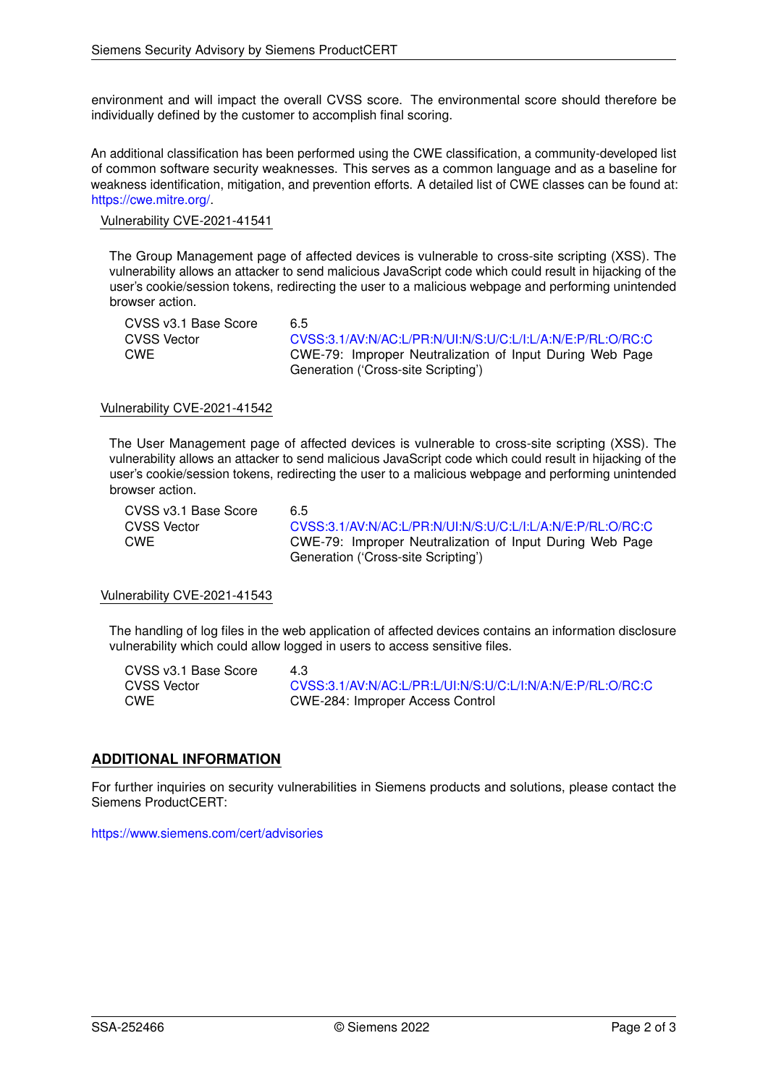environment and will impact the overall CVSS score. The environmental score should therefore be individually defined by the customer to accomplish final scoring.

An additional classification has been performed using the CWE classification, a community-developed list of common software security weaknesses. This serves as a common language and as a baseline for weakness identification, mitigation, and prevention efforts. A detailed list of CWE classes can be found at: [https://cwe.mitre.org/.](https://cwe.mitre.org/)

#### Vulnerability CVE-2021-41541

The Group Management page of affected devices is vulnerable to cross-site scripting (XSS). The vulnerability allows an attacker to send malicious JavaScript code which could result in hijacking of the user's cookie/session tokens, redirecting the user to a malicious webpage and performing unintended browser action.

| CVSS v3.1 Base Score | 6.5                                                        |
|----------------------|------------------------------------------------------------|
| <b>CVSS Vector</b>   | CVSS:3.1/AV:N/AC:L/PR:N/UI:N/S:U/C:L/I:L/A:N/E:P/RL:O/RC:C |
| <b>CWE</b>           | CWE-79: Improper Neutralization of Input During Web Page   |
|                      | Generation ('Cross-site Scripting')                        |

### Vulnerability CVE-2021-41542

The User Management page of affected devices is vulnerable to cross-site scripting (XSS). The vulnerability allows an attacker to send malicious JavaScript code which could result in hijacking of the user's cookie/session tokens, redirecting the user to a malicious webpage and performing unintended browser action.

| CVSS v3.1 Base Score | 6.5                                                        |
|----------------------|------------------------------------------------------------|
| CVSS Vector          | CVSS:3.1/AV:N/AC:L/PR:N/UI:N/S:U/C:L/I:L/A:N/E:P/RL:O/RC:C |
| <b>CWE</b>           | CWE-79: Improper Neutralization of Input During Web Page   |
|                      | Generation ('Cross-site Scripting')                        |

#### Vulnerability CVE-2021-41543

The handling of log files in the web application of affected devices contains an information disclosure vulnerability which could allow logged in users to access sensitive files.

| CVSS v3.1 Base Score | 43                                                         |
|----------------------|------------------------------------------------------------|
| CVSS Vector          | CVSS:3.1/AV:N/AC:L/PR:L/UI:N/S:U/C:L/I:N/A:N/E:P/RL:O/RC:C |
| CWE                  | CWE-284: Improper Access Control                           |

## **ADDITIONAL INFORMATION**

For further inquiries on security vulnerabilities in Siemens products and solutions, please contact the Siemens ProductCERT:

<https://www.siemens.com/cert/advisories>